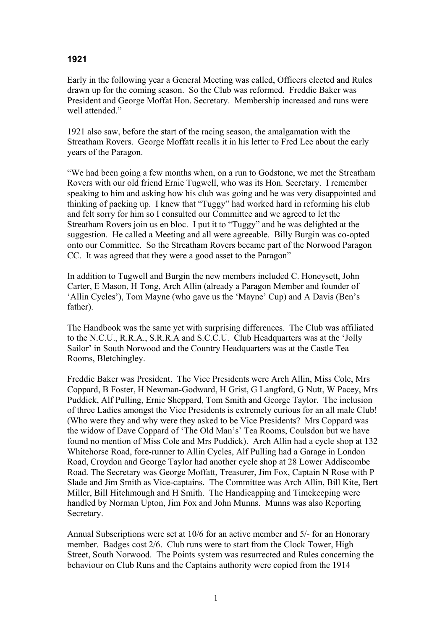## **1921**

Early in the following year a General Meeting was called, Officers elected and Rules drawn up for the coming season. So the Club was reformed. Freddie Baker was President and George Moffat Hon. Secretary. Membership increased and runs were well attended."

1921 also saw, before the start of the racing season, the amalgamation with the Streatham Rovers. George Moffatt recalls it in his letter to Fred Lee about the early years of the Paragon.

"We had been going a few months when, on a run to Godstone, we met the Streatham Rovers with our old friend Ernie Tugwell, who was its Hon. Secretary. I remember speaking to him and asking how his club was going and he was very disappointed and thinking of packing up. I knew that "Tuggy" had worked hard in reforming his club and felt sorry for him so I consulted our Committee and we agreed to let the Streatham Rovers join us en bloc. I put it to "Tuggy" and he was delighted at the suggestion. He called a Meeting and all were agreeable. Billy Burgin was co-opted onto our Committee. So the Streatham Rovers became part of the Norwood Paragon CC. It was agreed that they were a good asset to the Paragon"

In addition to Tugwell and Burgin the new members included C. Honeysett, John Carter, E Mason, H Tong, Arch Allin (already a Paragon Member and founder of 'Allin Cycles'), Tom Mayne (who gave us the 'Mayne' Cup) and A Davis (Ben's father).

The Handbook was the same yet with surprising differences. The Club was affiliated to the N.C.U., R.R.A., S.R.R.A and S.C.C.U. Club Headquarters was at the 'Jolly Sailor' in South Norwood and the Country Headquarters was at the Castle Tea Rooms, Bletchingley.

Freddie Baker was President. The Vice Presidents were Arch Allin, Miss Cole, Mrs Coppard, B Foster, H Newman-Godward, H Grist, G Langford, G Nutt, W Pacey, Mrs Puddick, Alf Pulling, Ernie Sheppard, Tom Smith and George Taylor. The inclusion of three Ladies amongst the Vice Presidents is extremely curious for an all male Club! (Who were they and why were they asked to be Vice Presidents? Mrs Coppard was the widow of Dave Coppard of 'The Old Man's' Tea Rooms, Coulsdon but we have found no mention of Miss Cole and Mrs Puddick). Arch Allin had a cycle shop at 132 Whitehorse Road, fore-runner to Allin Cycles, Alf Pulling had a Garage in London Road, Croydon and George Taylor had another cycle shop at 28 Lower Addiscombe Road. The Secretary was George Moffatt, Treasurer, Jim Fox, Captain N Rose with P Slade and Jim Smith as Vice-captains. The Committee was Arch Allin, Bill Kite, Bert Miller, Bill Hitchmough and H Smith. The Handicapping and Timekeeping were handled by Norman Upton, Jim Fox and John Munns. Munns was also Reporting Secretary.

Annual Subscriptions were set at 10/6 for an active member and 5/- for an Honorary member. Badges cost 2/6. Club runs were to start from the Clock Tower, High Street, South Norwood. The Points system was resurrected and Rules concerning the behaviour on Club Runs and the Captains authority were copied from the 1914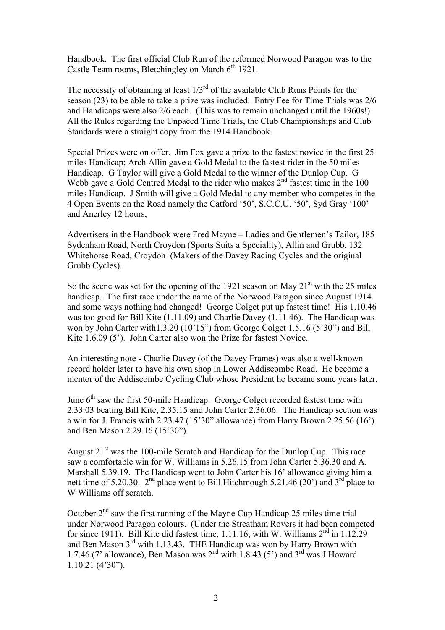Handbook. The first official Club Run of the reformed Norwood Paragon was to the Castle Team rooms, Bletchingley on March  $6<sup>th</sup>$  1921.

The necessity of obtaining at least  $1/3<sup>rd</sup>$  of the available Club Runs Points for the season (23) to be able to take a prize was included. Entry Fee for Time Trials was 2/6 and Handicaps were also 2/6 each. (This was to remain unchanged until the 1960s!) All the Rules regarding the Unpaced Time Trials, the Club Championships and Club Standards were a straight copy from the 1914 Handbook.

Special Prizes were on offer. Jim Fox gave a prize to the fastest novice in the first 25 miles Handicap; Arch Allin gave a Gold Medal to the fastest rider in the 50 miles Handicap. G Taylor will give a Gold Medal to the winner of the Dunlop Cup. G Webb gave a Gold Centred Medal to the rider who makes  $2<sup>nd</sup>$  fastest time in the 100 miles Handicap. J Smith will give a Gold Medal to any member who competes in the 4 Open Events on the Road namely the Catford '50', S.C.C.U. '50', Syd Gray '100' and Anerley 12 hours,

Advertisers in the Handbook were Fred Mayne – Ladies and Gentlemen's Tailor, 185 Sydenham Road, North Croydon (Sports Suits a Speciality), Allin and Grubb, 132 Whitehorse Road, Croydon (Makers of the Davey Racing Cycles and the original Grubb Cycles).

So the scene was set for the opening of the 1921 season on May  $21<sup>st</sup>$  with the 25 miles handicap. The first race under the name of the Norwood Paragon since August 1914 and some ways nothing had changed! George Colget put up fastest time! His 1.10.46 was too good for Bill Kite (1.11.09) and Charlie Davey (1.11.46). The Handicap was won by John Carter with1.3.20 (10'15") from George Colget 1.5.16 (5'30") and Bill Kite 1.6.09 (5'). John Carter also won the Prize for fastest Novice.

An interesting note - Charlie Davey (of the Davey Frames) was also a well-known record holder later to have his own shop in Lower Addiscombe Road. He become a mentor of the Addiscombe Cycling Club whose President he became some years later.

June  $6<sup>th</sup>$  saw the first 50-mile Handicap. George Colget recorded fastest time with 2.33.03 beating Bill Kite, 2.35.15 and John Carter 2.36.06. The Handicap section was a win for J. Francis with 2.23.47 (15'30" allowance) from Harry Brown 2.25.56 (16') and Ben Mason 2.29.16 (15'30").

August  $21<sup>st</sup>$  was the 100-mile Scratch and Handicap for the Dunlop Cup. This race saw a comfortable win for W. Williams in 5.26.15 from John Carter 5.36.30 and A. Marshall 5.39.19. The Handicap went to John Carter his 16' allowance giving him a nett time of 5.20.30.  $2<sup>nd</sup>$  place went to Bill Hitchmough 5.21.46 (20') and  $3<sup>rd</sup>$  place to W Williams off scratch.

October  $2<sup>nd</sup>$  saw the first running of the Mayne Cup Handicap 25 miles time trial under Norwood Paragon colours. (Under the Streatham Rovers it had been competed for since 1911). Bill Kite did fastest time, 1.11.16, with W. Williams  $2<sup>nd</sup>$  in 1.12.29 and Ben Mason 3rd with 1.13.43. THE Handicap was won by Harry Brown with 1.7.46 (7' allowance), Ben Mason was  $2<sup>nd</sup>$  with 1.8.43 (5') and  $3<sup>rd</sup>$  was J Howard 1.10.21 (4'30").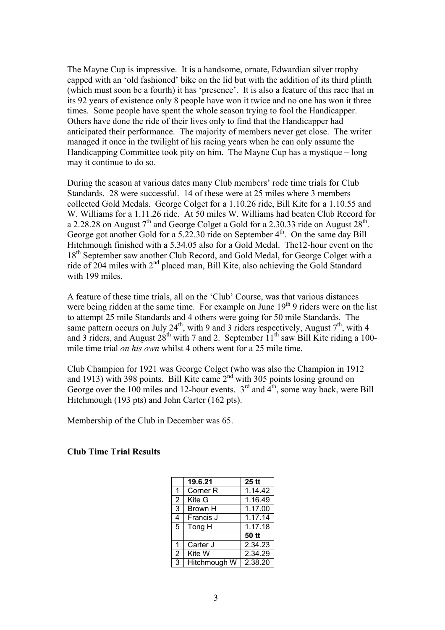The Mayne Cup is impressive. It is a handsome, ornate, Edwardian silver trophy capped with an 'old fashioned' bike on the lid but with the addition of its third plinth (which must soon be a fourth) it has 'presence'. It is also a feature of this race that in its 92 years of existence only 8 people have won it twice and no one has won it three times. Some people have spent the whole season trying to fool the Handicapper. Others have done the ride of their lives only to find that the Handicapper had anticipated their performance. The majority of members never get close. The writer managed it once in the twilight of his racing years when he can only assume the Handicapping Committee took pity on him. The Mayne Cup has a mystique – long may it continue to do so.

During the season at various dates many Club members' rode time trials for Club Standards. 28 were successful. 14 of these were at 25 miles where 3 members collected Gold Medals. George Colget for a 1.10.26 ride, Bill Kite for a 1.10.55 and W. Williams for a 1.11.26 ride. At 50 miles W. Williams had beaten Club Record for a 2.28.28 on August  $7<sup>th</sup>$  and George Colget a Gold for a 2.30.33 ride on August 28<sup>th</sup>. George got another Gold for a 5.22.30 ride on September  $4<sup>th</sup>$ . On the same day Bill Hitchmough finished with a 5.34.05 also for a Gold Medal. The12-hour event on the 18<sup>th</sup> September saw another Club Record, and Gold Medal, for George Colget with a ride of 204 miles with 2<sup>nd</sup> placed man, Bill Kite, also achieving the Gold Standard with 199 miles

A feature of these time trials, all on the 'Club' Course, was that various distances were being ridden at the same time. For example on June  $19<sup>th</sup>$  9 riders were on the list to attempt 25 mile Standards and 4 others were going for 50 mile Standards. The same pattern occurs on July 24<sup>th</sup>, with 9 and 3 riders respectively, August  $7<sup>th</sup>$ , with 4 and 3 riders, and August  $28^{th}$  with 7 and 2. September  $11^{th}$  saw Bill Kite riding a 100mile time trial *on his own* whilst 4 others went for a 25 mile time.

Club Champion for 1921 was George Colget (who was also the Champion in 1912 and 1913) with 398 points. Bill Kite came  $2<sup>nd</sup>$  with 305 points losing ground on George over the 100 miles and 12-hour events.  $3<sup>rd</sup>$  and  $4<sup>th</sup>$ , some way back, were Bill Hitchmough (193 pts) and John Carter (162 pts).

Membership of the Club in December was 65.

**Club Time Trial Results** 

|                | 19.6.21             | $25$ tt |
|----------------|---------------------|---------|
| 1              | Corner <sub>R</sub> | 1.14.42 |
| $\overline{2}$ | Kite G              | 1.16.49 |
| 3              | Brown H             | 1.17.00 |
| 4              | Francis J           | 1.17.14 |
| 5              | Tong H              | 1.17.18 |
|                |                     | 50 tt   |
| 1              | Carter J            | 2.34.23 |
| $\overline{2}$ | Kite W              | 2.34.29 |
| 3              | Hitchmough W        | 2.38.20 |
|                |                     |         |